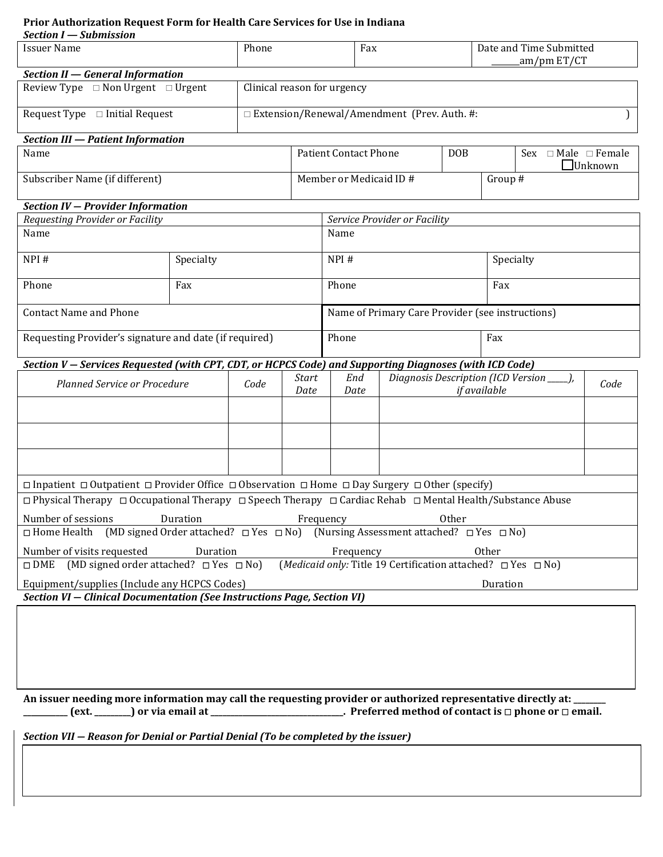# **Prior Authorization Request Form for Health Care Services for Use in Indiana**

| Section I - Submission                                                                                                                 |           |       |                                               |                                                   |     |  |                                                 |  |  |  |
|----------------------------------------------------------------------------------------------------------------------------------------|-----------|-------|-----------------------------------------------|---------------------------------------------------|-----|--|-------------------------------------------------|--|--|--|
| <b>Issuer Name</b>                                                                                                                     |           | Phone |                                               |                                                   | Fax |  | Date and Time Submitted<br>am/pm ET/CT          |  |  |  |
| Section II - General Information                                                                                                       |           |       |                                               |                                                   |     |  |                                                 |  |  |  |
| Review Type $\Box$ Non Urgent $\Box$ Urgent                                                                                            |           |       | Clinical reason for urgency                   |                                                   |     |  |                                                 |  |  |  |
| Request Type $\Box$ Initial Request                                                                                                    |           |       | □ Extension/Renewal/Amendment (Prev. Auth. #: |                                                   |     |  |                                                 |  |  |  |
| <b>Section III - Patient Information</b>                                                                                               |           |       |                                               |                                                   |     |  |                                                 |  |  |  |
| Name                                                                                                                                   |           |       |                                               | <b>Patient Contact Phone</b><br><b>DOB</b>        |     |  | Sex $\Box$ Male $\Box$ Female<br>$\Box$ Unknown |  |  |  |
| Subscriber Name (if different)                                                                                                         |           |       | Member or Medicaid ID #                       |                                                   |     |  | Group #                                         |  |  |  |
| Section IV - Provider Information                                                                                                      |           |       |                                               |                                                   |     |  |                                                 |  |  |  |
| Requesting Provider or Facility                                                                                                        |           |       |                                               | Service Provider or Facility                      |     |  |                                                 |  |  |  |
| Name                                                                                                                                   |           |       |                                               | Name                                              |     |  |                                                 |  |  |  |
| NPI#                                                                                                                                   | Specialty |       |                                               | NPI#                                              |     |  | Specialty                                       |  |  |  |
| Phone                                                                                                                                  | Fax       |       |                                               | Phone                                             |     |  | Fax                                             |  |  |  |
| <b>Contact Name and Phone</b>                                                                                                          |           |       |                                               | Name of Primary Care Provider (see instructions)  |     |  |                                                 |  |  |  |
| Requesting Provider's signature and date (if required)                                                                                 |           |       |                                               | Phone                                             |     |  | Fax                                             |  |  |  |
| Section V - Services Requested (with CPT, CDT, or HCPCS Code) and Supporting Diagnoses (with ICD Code)                                 |           |       |                                               |                                                   |     |  |                                                 |  |  |  |
| <b>Planned Service or Procedure</b>                                                                                                    |           | Code  | Start<br>Date                                 | Diagnosis Description (ICD Version<br>End<br>Date |     |  | Code<br>if available                            |  |  |  |
|                                                                                                                                        |           |       |                                               |                                                   |     |  |                                                 |  |  |  |
|                                                                                                                                        |           |       |                                               |                                                   |     |  |                                                 |  |  |  |
|                                                                                                                                        |           |       |                                               |                                                   |     |  |                                                 |  |  |  |
| $\Box$ Inpatient $\Box$ Outpatient $\Box$ Provider Office $\Box$ Observation $\Box$ Home $\Box$ Day Surgery $\Box$ Other (specify)     |           |       |                                               |                                                   |     |  |                                                 |  |  |  |
| $\Box$ Physical Therapy $\Box$ Occupational Therapy $\Box$ Speech Therapy $\Box$ Cardiac Rehab $\Box$ Mental Health/Substance Abuse    |           |       |                                               |                                                   |     |  |                                                 |  |  |  |
| Duration<br>Other<br>Number of sessions<br>Frequency                                                                                   |           |       |                                               |                                                   |     |  |                                                 |  |  |  |
| $\Box$ Home Health (MD signed Order attached? $\Box$ Yes $\Box$ No) (Nursing Assessment attached? $\Box$ Yes $\Box$ No)                |           |       |                                               |                                                   |     |  |                                                 |  |  |  |
| Number of visits requested<br>Duration<br>Other<br>Frequency                                                                           |           |       |                                               |                                                   |     |  |                                                 |  |  |  |
| (MD signed order attached? $\Box$ Yes $\Box$ No)<br>( <i>Medicaid only:</i> Title 19 Certification attached? □ Yes □ No)<br>$\Box$ DME |           |       |                                               |                                                   |     |  |                                                 |  |  |  |
| Equipment/supplies (Include any HCPCS Codes)<br>Duration                                                                               |           |       |                                               |                                                   |     |  |                                                 |  |  |  |
| Section VI - Clinical Documentation (See Instructions Page, Section VI)                                                                |           |       |                                               |                                                   |     |  |                                                 |  |  |  |

**An issuer needing more information may call the requesting provider or authorized representative directly at: \_\_\_\_\_\_\_\_ \_\_\_\_\_\_\_\_** (ext. \_\_\_\_\_\_) or via email at \_\_\_\_\_\_\_\_\_\_\_\_\_\_\_\_\_\_\_\_\_\_\_\_\_\_\_\_\_\_\_. Preferred method of contact is □ phone or □ email.

*Section VII ― Reason for Denial or Partial Denial (To be completed by the issuer)*